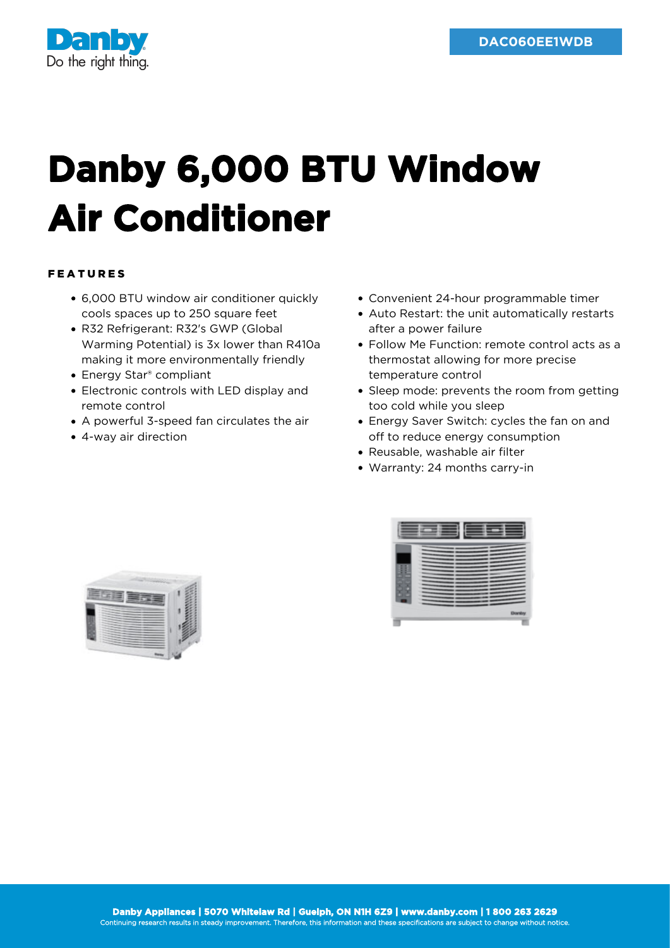

## **Danby 6,000 BTU Window Air Conditioner**

## FEATURES

- 6,000 BTU window air conditioner quickly cools spaces up to 250 square feet
- R32 Refrigerant: R32's GWP (Global Warming Potential) is 3x lower than R410a making it more environmentally friendly
- Energy Star® compliant
- Electronic controls with LED display and remote control
- A powerful 3-speed fan circulates the air
- 4-way air direction
- Convenient 24-hour programmable timer
- Auto Restart: the unit automatically restarts after a power failure
- Follow Me Function: remote control acts as a thermostat allowing for more precise temperature control
- Sleep mode: prevents the room from getting too cold while you sleep
- Energy Saver Switch: cycles the fan on and off to reduce energy consumption
- Reusable, washable air filter
- Warranty: 24 months carry-in